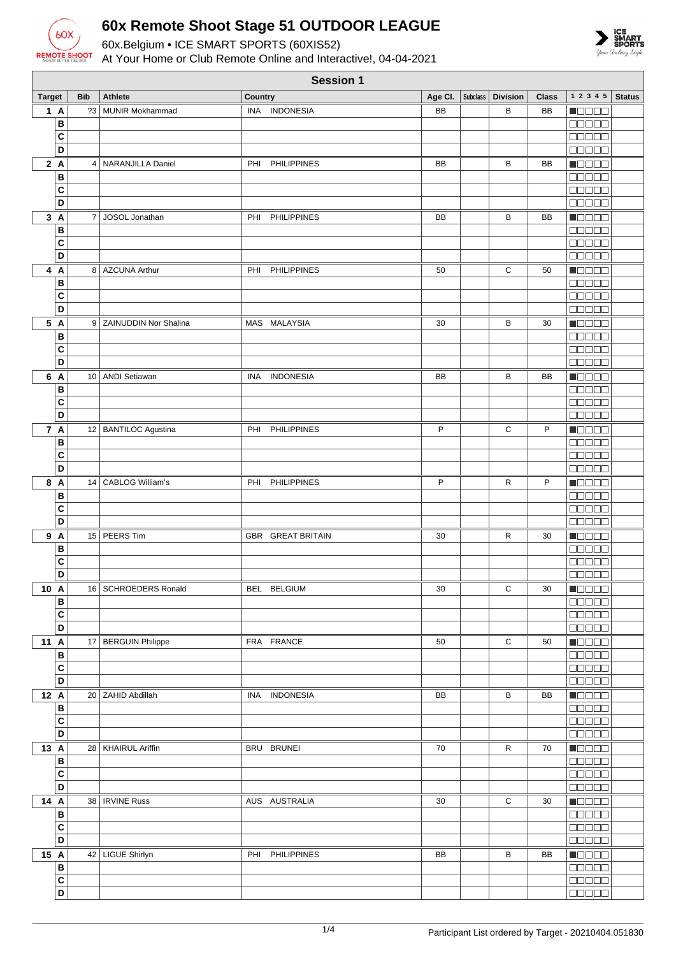

**Session 1**

60x.Belgium • ICE SMART SPORTS (60XIS52) At Your Home or Club Remote Online and Interactive!, 04-04-2021



**Target Bib Athlete Country Country Age Cl.** Subclass **Division Class** 1 2 3 4 5 Status **1 A** ?3 MUNIR Mokhammad INA INDONESIA BB B BB **NOODE B**  $\Box \Box \Box \Box \Box$ **C**  $\Box \Box \Box \Box \Box$ **D**  $\Box \Box \Box \Box \Box$ **2 A** 4 NARANJILLA Daniel PHI PHILIPPINES BB BB BB Maaaa **B** 00000 **C** 00000 **D**  $\Box \Box \Box \Box \Box$ **3 A** 7 JOSOL Jonathan PHI PHILIPPINES BB BB BB n de de **B** 00000 **C** 00000 **D DOOOO 4 A** 8 AZCUNA Arthur PHILIPPINES 50 G 50 80000 **B**  $\Box \Box \Box \Box \Box$ **C**  $\Box \Box \Box \Box \Box$ **D** 00000 **5 A** 9 ZAINUDDIN Nor Shalina MAS MALAYSIA 30 B 30 **MODOO B BEBEE C**  $\Box \Box \Box \Box \Box$ **D**  $\Box \Box \Box \Box \Box$ **NOOOO 6 A** 10 ANDI Setiawan INA INDONESIA BB BB BB BB **B DODDE C** 00000 **D** noooo **7 A** 12 BANTILOC Agustina PHI PHILIPPINES PHI PHILIPPINES **NOOOO B** 00000 **C**  $\Box \Box \Box \Box \Box$ **D**  $\Box \Box \Box \Box \Box$ **8 A** 14 CABLOG William's PHI PHILIPPINES P R P Maaaa **B** a a a a a **C**  $00000$ **D** 00000 **9 A** 15 PEERS Tim GBR GREAT BRITAIN 30 R 30  $\blacksquare$ **B C**  $\Box \Box \Box \Box \Box$ **D DOODD 10 A** 16 SCHROEDERS Ronald BEL BELGIUM 30 C 30  $\blacksquare$ **B C**  $00000$ **D**  $\Box \Box \Box \Box \Box$ **11 A** 17 BERGUIN Philippe FRA FRANCE 50 50 C 50  $\blacksquare$ **B** 00000 **C**  $\Box \Box \Box \Box \Box$ **D 00000 12 A** 20 ZAHID Abdillah INA INDONESIA BB BB BB BB **MODOO B** onoon **C** 00000 **D** mmmmm **13 A** 28 KHAIRUL Ariffin **BRU BRUNEI BRU BRUNEI** 70 | R 70 <u> El Sel S</u> **B** 00000 **C**  $\Box \Box \Box \Box \Box$ **D** 00000 **14 A** 38 IRVINE Russ AUSTRALIA 30 C 30 **HELLER B**  $\Box \Box \Box \Box \Box$ **C**  $\Box \Box \Box \Box \Box$ **D 15 A** 42 LIGUE Shirlyn PHI PHILIPPINES BB B B B B B **MODOO B TITLE C**  $\Box \Box \Box \Box \Box$ **D** 00000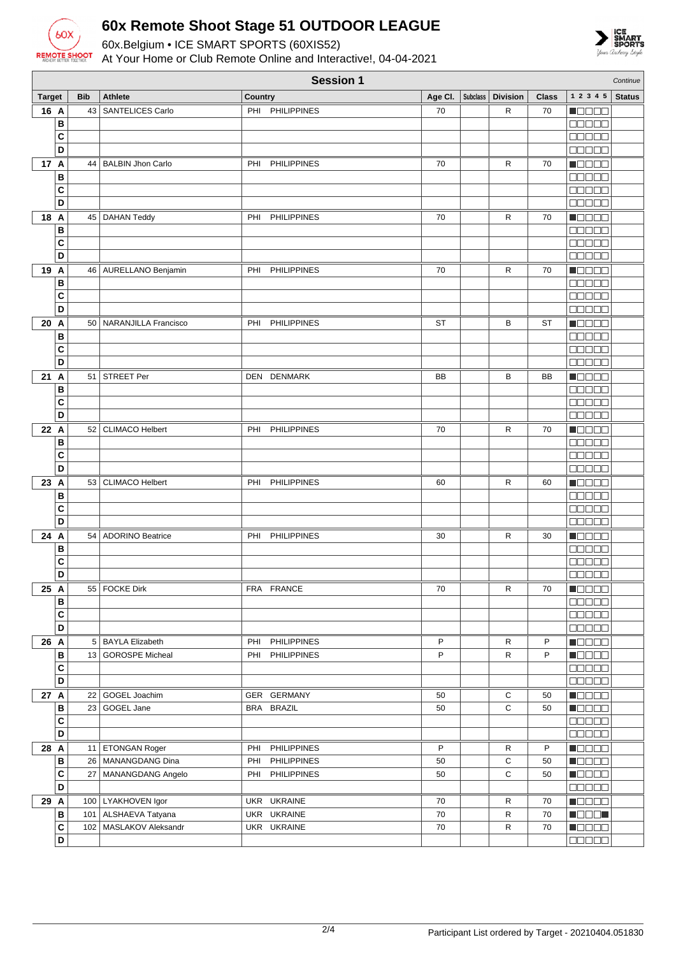

60x.Belgium • ICE SMART SPORTS (60XIS52) At Your Home or Club Remote Online and Interactive!, 04-04-2021



|               | <b>Session 1</b><br>Continue |            |                           |         |                    |         |  |                     |              |                          |               |
|---------------|------------------------------|------------|---------------------------|---------|--------------------|---------|--|---------------------|--------------|--------------------------|---------------|
| <b>Target</b> |                              | <b>Bib</b> | <b>Athlete</b>            | Country |                    | Age Cl. |  | Subclass   Division | <b>Class</b> | 1 2 3 4 5                | <b>Status</b> |
| 16 A          |                              | 43         | <b>SANTELICES Carlo</b>   |         | PHI PHILIPPINES    | 70      |  | R                   | 70           | n oo oo                  |               |
|               | B                            |            |                           |         |                    |         |  |                     |              | 88888                    |               |
|               | C                            |            |                           |         |                    |         |  |                     |              | <b>REBER</b>             |               |
|               | D                            |            |                           |         |                    |         |  |                     |              | 00000                    |               |
| 17 A          |                              | 44         | <b>BALBIN Jhon Carlo</b>  | PHI     | <b>PHILIPPINES</b> | 70      |  | R                   | 70           | n 8888                   |               |
|               | B                            |            |                           |         |                    |         |  |                     |              | ooooo                    |               |
|               | C                            |            |                           |         |                    |         |  |                     |              | <b>BBBBB</b>             |               |
|               | D                            |            |                           |         |                    |         |  |                     |              | <b>BEBEE</b>             |               |
| 18 A          |                              |            | 45   DAHAN Teddy          | PHI     | <b>PHILIPPINES</b> | 70      |  | R                   | 70           | Maaaa                    |               |
|               | B                            |            |                           |         |                    |         |  |                     |              | <b>MODES</b>             |               |
|               | C                            |            |                           |         |                    |         |  |                     |              | 88888                    |               |
|               | D                            |            |                           |         |                    |         |  |                     |              | <b>BBBBB</b>             |               |
| 19 A          |                              |            | 46   AURELLANO Benjamin   |         | PHI PHILIPPINES    | 70      |  | R                   | 70           | Maaaa                    |               |
|               | В                            |            |                           |         |                    |         |  |                     |              | <b>BBBBB</b>             |               |
|               | C                            |            |                           |         |                    |         |  |                     |              | 88888                    |               |
|               | D                            |            |                           |         |                    |         |  |                     |              | 00000                    |               |
| 20 A          |                              |            | 50   NARANJILLA Francisco | PHI     | <b>PHILIPPINES</b> | ST      |  | в                   | ST           | <b>M</b> OOOO            |               |
|               | В                            |            |                           |         |                    |         |  |                     |              | 88888                    |               |
|               | C                            |            |                           |         |                    |         |  |                     |              | Maaaa                    |               |
|               | D                            |            |                           |         |                    |         |  |                     |              | 88888                    |               |
| 21 A          |                              | 51         | <b>STREET Per</b>         |         | DEN DENMARK        | BB      |  | В                   | BB           | <b>Manag</b>             |               |
|               | B                            |            |                           |         |                    |         |  |                     |              | <b>NULLE</b>             |               |
|               | C                            |            |                           |         |                    |         |  |                     |              | 80000                    |               |
|               | D                            |            |                           |         |                    |         |  |                     |              | <b>BBBBB</b>             |               |
| 22 A          |                              | 52         | <b>CLIMACO Helbert</b>    | PHI     | <b>PHILIPPINES</b> | 70      |  | R                   | 70           | n da a a                 |               |
|               | B                            |            |                           |         |                    |         |  |                     |              | <b>00000</b>             |               |
|               | C                            |            |                           |         |                    |         |  |                     |              | 00000                    |               |
|               | D                            |            |                           |         |                    |         |  |                     |              | <b>NOBOO</b>             |               |
| 23 A          |                              | 53         | <b>CLIMACO Helbert</b>    | PHI     | <b>PHILIPPINES</b> | 60      |  | R                   | 60           | M O O O O                |               |
|               | B                            |            |                           |         |                    |         |  |                     |              | <b>BBBBB</b>             |               |
|               | C                            |            |                           |         |                    |         |  |                     |              | 88888                    |               |
|               | D                            |            |                           |         |                    |         |  |                     |              | 00000                    |               |
| 24 A          |                              |            | 54   ADORINO Beatrice     |         | PHI PHILIPPINES    | 30      |  | R                   | 30           | Maaaa                    |               |
|               | B                            |            |                           |         |                    |         |  |                     |              | <b>BBBBB</b>             |               |
|               | C                            |            |                           |         |                    |         |  |                     |              | <u>maaaa</u>             |               |
|               | D                            |            |                           |         |                    |         |  |                     |              | 88888                    |               |
| 25 A          |                              |            | 55   FOCKE Dirk           |         | FRA FRANCE         | 70      |  | R                   | 70           | <u> Nacional de la I</u> |               |
|               | $\, {\bf B}$                 |            |                           |         |                    |         |  |                     |              | <b>00000</b>             |               |
|               | $\mathbf{C}$                 |            |                           |         |                    |         |  |                     |              | 88888                    |               |
|               | D                            |            |                           |         |                    |         |  |                     |              | 88888                    |               |
| 26 A          |                              |            | 5 BAYLA Elizabeth         | PHI     | <b>PHILIPPINES</b> | P       |  | R                   | P            | <b>Nacional</b>          |               |
|               | $\, {\bf B}$                 |            | 13 GOROSPE Micheal        |         | PHI PHILIPPINES    | P       |  | R                   | P            | <b>NGC 88</b>            |               |
|               | C                            |            |                           |         |                    |         |  |                     |              | 00000                    |               |
|               | D                            |            |                           |         |                    |         |  |                     |              | 88888                    |               |
| 27 A          |                              |            | 22 GOGEL Joachim          |         | GER GERMANY        | 50      |  | С                   | 50           | <b>Macao</b>             |               |
|               | B                            | 23         | GOGEL Jane                |         | BRA BRAZIL         | 50      |  | C                   | 50           | Maaaa                    |               |
|               | C                            |            |                           |         |                    |         |  |                     |              | 88888                    |               |
|               | D                            |            |                           |         |                    |         |  |                     |              | 00000                    |               |
| 28 A          |                              |            | 11 ETONGAN Roger          | PHI     | PHILIPPINES        | P       |  | R                   | P            | Maaaa                    |               |
|               | $\, {\bf B}$                 |            | 26   MANANGDANG Dina      | PHI     | <b>PHILIPPINES</b> | 50      |  | С                   | 50           | <b>T</b> oooo            |               |
|               | C                            |            | 27   MANANGDANG Angelo    |         | PHI PHILIPPINES    | 50      |  | С                   | 50           | <b>REGEE</b>             |               |
|               | D                            |            |                           |         |                    |         |  |                     |              | 88888                    |               |
| 29 A          |                              |            | 100   LYAKHOVEN Igor      |         | UKR UKRAINE        | 70      |  | R                   | 70           | <b>HEEEE</b>             |               |
|               | В                            |            | 101   ALSHAEVA Tatyana    |         | UKR UKRAINE        | 70      |  | R                   | 70           | <b>Recep</b>             |               |
|               | C                            |            | 102   MASLAKOV Aleksandr  |         | UKR UKRAINE        | 70      |  | R                   | 70           | <u>maana</u>             |               |
|               | D                            |            |                           |         |                    |         |  |                     |              | 00000                    |               |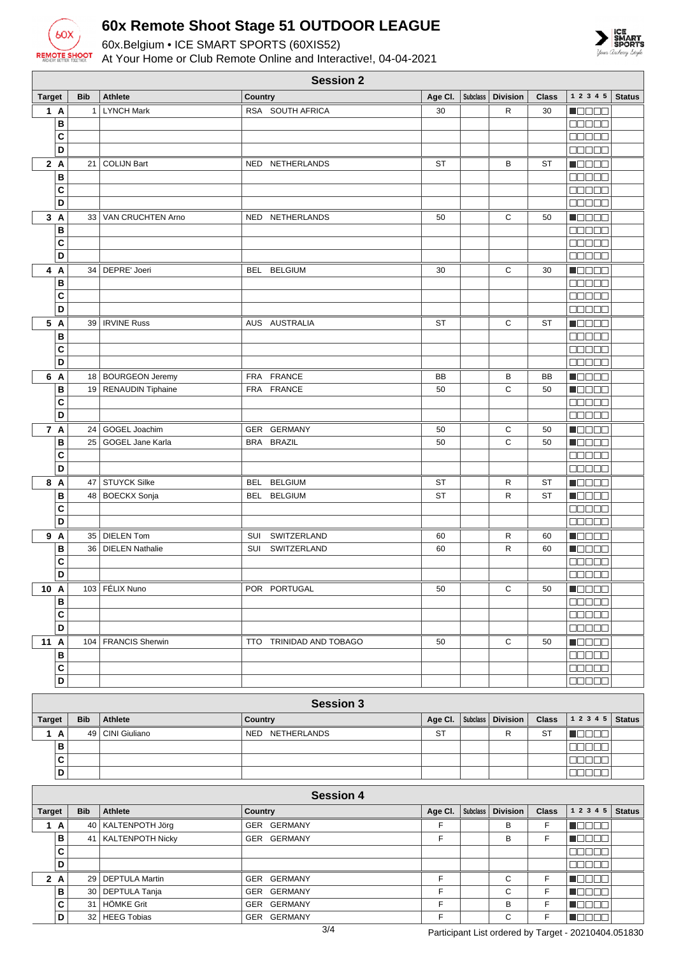

60x.Belgium • ICE SMART SPORTS (60XIS52)



At Your Home or Club Remote Online and Interactive!, 04-04-2021

| <b>Session 2</b>        |                 |                          |                              |                         |                    |          |                 |              |                                                             |               |
|-------------------------|-----------------|--------------------------|------------------------------|-------------------------|--------------------|----------|-----------------|--------------|-------------------------------------------------------------|---------------|
| <b>Target</b>           | <b>Bib</b>      | <b>Athlete</b>           | <b>Country</b>               |                         | Age Cl.            | Subclass | <b>Division</b> | <b>Class</b> | 1 2 3 4 5                                                   | <b>Status</b> |
| 1 A                     | 1               | <b>LYNCH Mark</b>        | RSA SOUTH AFRICA             |                         | 30                 |          | R               | 30           | $\blacksquare$ $\square$ $\square$ $\blacksquare$           |               |
| B                       |                 |                          |                              |                         |                    |          |                 |              | anaan                                                       |               |
| C                       |                 |                          |                              |                         |                    |          |                 |              | 88888                                                       |               |
| D                       |                 |                          |                              |                         |                    |          |                 |              | 88888                                                       |               |
| 2A                      | 21              | <b>COLIJN Bart</b>       | NED                          | NETHERLANDS             | <b>ST</b>          |          | B               | <b>ST</b>    | HOOOO                                                       |               |
| B                       |                 |                          |                              |                         |                    |          |                 |              | 00000                                                       |               |
| C                       |                 |                          |                              |                         |                    |          |                 |              | 00000                                                       |               |
| D                       |                 |                          |                              |                         |                    |          |                 |              | <b>BBBBB</b>                                                |               |
| 3A                      | 33 <sup>1</sup> | <b>VAN CRUCHTEN Arno</b> | NED NETHERLANDS              |                         | 50                 |          | C               | 50           | Maaaa                                                       |               |
| B                       |                 |                          |                              |                         |                    |          |                 |              | $\Box$ $\Box$ $\Box$ $\Box$ $\Box$                          |               |
| C                       |                 |                          |                              |                         |                    |          |                 |              | <b>Goooo</b>                                                |               |
| D                       |                 |                          |                              |                         |                    |          |                 |              | $\Box$                                                      |               |
| 4 A                     |                 | 34   DEPRE' Joeri        | BEL BELGIUM                  |                         | 30                 |          | $\mathbf C$     | 30           | $\blacksquare$ $\square$ $\square$ $\square$                |               |
| B                       |                 |                          |                              |                         |                    |          |                 |              | <b>00000</b>                                                |               |
| C                       |                 |                          |                              |                         |                    |          |                 |              | $\Box$ $\Box$ $\Box$ $\Box$                                 |               |
| D                       |                 |                          |                              |                         |                    |          |                 |              | an da a                                                     |               |
| 5 A                     |                 | 39   IRVINE Russ         | AUS AUSTRALIA                |                         | <b>ST</b>          |          | С               | <b>ST</b>    | <b>Madaa</b>                                                |               |
| B                       |                 |                          |                              |                         |                    |          |                 |              | <b>00000</b>                                                |               |
| C                       |                 |                          |                              |                         |                    |          |                 |              | $\Box\Box\Box\Box$                                          |               |
| D                       |                 |                          |                              |                         |                    |          |                 |              | $\Box$ $\Box$ $\Box$ $\Box$                                 |               |
| 6 A                     |                 | 18 BOURGEON Jeremy       | FRA FRANCE                   |                         | BB                 |          | B               | BB           | $\blacksquare$                                              |               |
| B                       |                 | 19 RENAUDIN Tiphaine     | FRA FRANCE                   |                         | 50                 |          | C               | 50           | Musas                                                       |               |
| C                       |                 |                          |                              |                         |                    |          |                 |              | <b>BBBBB</b>                                                |               |
| D                       |                 |                          |                              |                         |                    |          |                 |              | <b>BBBBB</b>                                                |               |
| 7 A                     | 24              | GOGEL Joachim            | GER GERMANY                  |                         | 50                 |          | C               | 50           | n O O O O                                                   |               |
| B                       | 25              | GOGEL Jane Karla         | BRA BRAZIL                   |                         | 50                 |          | C               | 50           | <b>Magaa</b>                                                |               |
| C                       |                 |                          |                              |                         |                    |          |                 |              | an da a                                                     |               |
| D                       |                 |                          |                              |                         |                    |          |                 |              | <b>00000</b>                                                |               |
| 8 A                     | 47              | <b>STUYCK Silke</b>      | <b>BELGIUM</b><br><b>BEL</b> |                         | <b>ST</b>          |          | R               | <b>ST</b>    | M O O O O                                                   |               |
| B                       | 48              | <b>BOECKX Sonja</b>      | BEL<br><b>BELGIUM</b>        |                         | <b>ST</b>          |          | $\mathsf{R}$    | <b>ST</b>    | Maaaa                                                       |               |
| C                       |                 |                          |                              |                         |                    |          |                 |              | $\Box$ $\Box$ $\Box$ $\Box$                                 |               |
| D                       |                 |                          |                              |                         |                    |          |                 |              | 00000                                                       |               |
| 9 A                     |                 | 35   DIELEN Tom          | SUI                          | SWITZERLAND             | 60                 |          | R               | 60           | $\blacksquare$ $\square$ $\square$ $\square$                |               |
| B                       | 36              | <b>DIELEN Nathalie</b>   | SUI                          | SWITZERLAND             | 60                 |          | R               | 60           | $\blacksquare$ $\blacksquare$ $\blacksquare$ $\blacksquare$ |               |
| C                       |                 |                          |                              |                         |                    |          |                 |              | $\Box\Box\Box\Box\Box$                                      |               |
| D                       |                 |                          |                              |                         |                    |          |                 |              |                                                             |               |
| 10 A                    |                 | 103 FÉLIX Nuno           | POR PORTUGAL                 |                         | 50                 |          | С               | 50           | MOD 80                                                      |               |
| B                       |                 |                          |                              |                         |                    |          |                 |              | <b>00000</b>                                                |               |
| C                       |                 |                          |                              |                         |                    |          |                 |              | <b>00000</b>                                                |               |
| D                       |                 |                          |                              |                         |                    |          |                 |              | 00000                                                       |               |
| 11 A                    |                 | 104   FRANCIS Sherwin    |                              | TTO TRINIDAD AND TOBAGO | 50                 |          | С               | 50           | $\blacksquare$ $\blacksquare$ $\blacksquare$ $\blacksquare$ |               |
| B                       |                 |                          |                              |                         |                    |          |                 |              | 00000                                                       |               |
| $\mathbf{C}$            |                 |                          |                              |                         |                    |          |                 |              | 00000                                                       |               |
| D                       |                 |                          |                              |                         |                    |          |                 |              | $\Box \Box \Box \Box \Box$                                  |               |
|                         |                 |                          |                              |                         |                    |          |                 |              |                                                             |               |
|                         |                 |                          |                              | <b>Session 3</b>        |                    |          |                 |              |                                                             |               |
| <b>Target</b>           | <b>Bib</b>      | Athlete                  | Country                      |                         | Age Cl.            | Subclass | <b>Division</b> | <b>Class</b> | $1 2 3 4 5$ Status                                          |               |
| 1A                      | 49              | CINI Giuliano            | NED NETHERLANDS              |                         | <b>ST</b>          |          | ${\sf R}$       | ST           | $\blacksquare$                                              |               |
| B                       |                 |                          |                              |                         |                    |          |                 |              | 88888                                                       |               |
| $\overline{\mathbf{C}}$ |                 |                          |                              |                         |                    |          |                 |              | 00000                                                       |               |
| D                       |                 |                          |                              |                         |                    |          |                 |              | 00000                                                       |               |
|                         |                 |                          |                              |                         |                    |          |                 |              |                                                             |               |
|                         |                 |                          |                              | <b>Session 4</b>        |                    |          |                 |              |                                                             |               |
| <b>Target</b>           | <b>Bib</b>      | <b>Athlete</b>           | Country                      |                         | Age CI.   Subclass |          | <b>Division</b> | <b>Class</b> | $1 2 3 4 5$ Status                                          |               |

| <b>Target</b> |   | <b>Bib</b> | Athlete | <b>Country</b>        | Age CI.     | Subclass | Division | <b>Class</b> | $12345$ Status |           |  |
|---------------|---|------------|---------|-----------------------|-------------|----------|----------|--------------|----------------|-----------|--|
|               | A |            |         | 40   KALTENPOTH Jörg  | GER GERMANY |          |          | В            |                | N E E E E |  |
|               |   | B          |         | 41   KALTENPOTH Nicky | GER GERMANY |          |          | В            |                | TE E E E  |  |
|               |   | C          |         |                       |             |          |          |              |                | 30 E E E  |  |
|               |   | D          |         |                       |             |          |          |              |                | 300 C C C |  |
|               |   | 2A         |         | 29   DEPTULA Martin   | GER GERMANY | E        |          | C            |                | 30 D B    |  |
|               |   | B          |         | 30   DEPTULA Tanja    | GER GERMANY | E        |          | С            |                | N E E E E |  |
|               |   | C.         |         | 31 HÖMKE Grit         | GER GERMANY | Е        |          | B            |                | 700 O     |  |
|               |   | D          |         | 32   HEEG Tobias      | GER GERMANY | Е        |          | C            |                | N E E E E |  |
|               |   |            |         |                       | 211         |          |          | _ _          |                | .         |  |